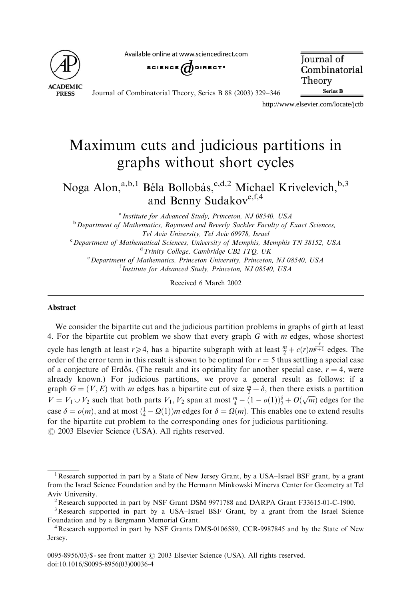**ACADEMIC PRESS** 

Available online at www.sciencedirect.com



**Iournal** of Combinatorial Theory **Series B** 

Journal of Combinatorial Theory, Series B 88 (2003) 329–346

http://www.elsevier.com/locate/jctb

# Maximum cuts and judicious partitions in graphs without short cycles

Noga Alon,<sup>a,b,1</sup> Béla Bollobás,<sup>c,d,2</sup> Michael Krivelevich,<sup>b,3</sup> and Benny Sudakov<sup>e,f,4</sup>

<sup>a</sup> Institute for Advanced Study, Princeton, NJ 08540, USA

<sup>b</sup> Department of Mathematics, Raymond and Beverly Sackler Faculty of Exact Sciences, Tel Aviv University, Tel Aviv 69978, Israel

<sup>c</sup> Department of Mathematical Sciences, University of Memphis, Memphis TN 38152, USA <sup>d</sup> Trinity College, Cambridge CB2 1TQ, UK

<sup>e</sup> Department of Mathematics, Princeton University, Princeton, NJ 08540, USA <sup>f</sup> Institute for Advanced Study, Princeton, NJ 08540, USA

Received 6 March 2002

#### Abstract

We consider the bipartite cut and the judicious partition problems in graphs of girth at least 4. For the bipartite cut problem we show that every graph  $G$  with  $m$  edges, whose shortest cycle has length at least  $r \ge 4$ , has a bipartite subgraph with at least  $\frac{m}{2} + c(r) m^{\frac{r}{p+1}}$  edges. The order of the error term in this result is shown to be optimal for  $r = 5$  thus settling a special case of a conjecture of Erdős. (The result and its optimality for another special case,  $r = 4$ , were already known.) For judicious partitions, we prove a general result as follows: if a graph  $G = (V, E)$  with m edges has a bipartite cut of size  $\frac{m}{2} + \delta$ , then there exists a partition  $V = V_1 \cup V_2$  such that both parts  $V_1$ ,  $V_2$  span at most  $\frac{m}{4} - (1 - o(1))\frac{3}{2} + O(\sqrt{m})$  edges for the case  $\delta = o(m)$ , and at most  $(\frac{1}{4} - \Omega(1))m$  edges for  $\delta = \Omega(m)$ . This enables one to extend results for the bipartite cut problem to the corresponding ones for judicious partitioning.  $\odot$  2003 Elsevier Science (USA). All rights reserved.

<sup>&</sup>lt;sup>1</sup> Research supported in part by a State of New Jersey Grant, by a USA-Israel BSF grant, by a grant from the Israel Science Foundation and by the Hermann Minkowski Minerva Center for Geometry at Tel Aviv University.<br><sup>2</sup>Research supported in part by NSF Grant DSM 9971788 and DARPA Grant F33615-01-C-1900.

<sup>&</sup>lt;sup>3</sup>Research supported in part by a USA-Israel BSF Grant, by a grant from the Israel Science Foundation and by a Bergmann Memorial Grant. <sup>4</sup>

Research supported in part by NSF Grants DMS-0106589, CCR-9987845 and by the State of New Jersey.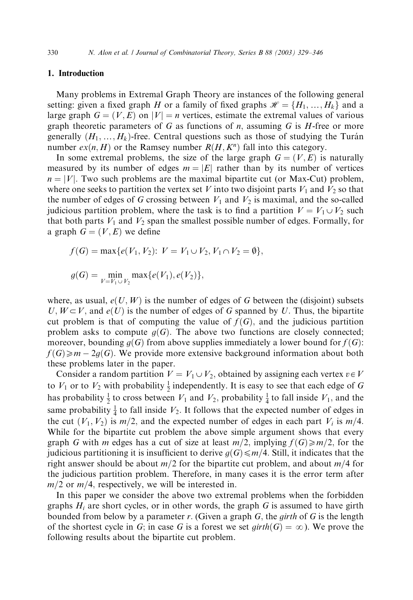# 1. Introduction

Many problems in Extremal Graph Theory are instances of the following general setting: given a fixed graph H or a family of fixed graphs  $\mathcal{H} = \{H_1, ..., H_k\}$  and a large graph  $G = (V, E)$  on  $|V| = n$  vertices, estimate the extremal values of various graph theoretic parameters of G as functions of  $n$ , assuming G is  $H$ -free or more generally  $(H_1, ..., H_k)$ -free. Central questions such as those of studying the Turán number  $ex(n, H)$  or the Ramsey number  $R(H, K^n)$  fall into this category.

In some extremal problems, the size of the large graph  $G = (V, E)$  is naturally measured by its number of edges  $m = |E|$  rather than by its number of vertices  $n = |V|$ . Two such problems are the maximal bipartite cut (or Max-Cut) problem, where one seeks to partition the vertex set V into two disjoint parts  $V_1$  and  $V_2$  so that the number of edges of G crossing between  $V_1$  and  $V_2$  is maximal, and the so-called judicious partition problem, where the task is to find a partition  $V = V_1 \cup V_2$  such that both parts  $V_1$  and  $V_2$  span the smallest possible number of edges. Formally, for a graph  $G = (V, E)$  we define

$$
f(G) = \max\{e(V_1, V_2): V = V_1 \cup V_2, V_1 \cap V_2 = \emptyset\},\
$$
  

$$
g(G) = \min_{V = V_1 \cup V_2} \max\{e(V_1), e(V_2)\},\
$$

where, as usual,  $e(U, W)$  is the number of edges of G between the (disjoint) subsets  $U, W \subset V$ , and  $e(U)$  is the number of edges of G spanned by U. Thus, the bipartite cut problem is that of computing the value of  $f(G)$ , and the judicious partition problem asks to compute  $g(G)$ . The above two functions are closely connected; moreover, bounding  $g(G)$  from above supplies immediately a lower bound for  $f(G)$ :  $f(G) \geq m - 2g(G)$ . We provide more extensive background information about both these problems later in the paper.

Consider a random partition  $V = V_1 \cup V_2$ , obtained by assigning each vertex  $v \in V$ to  $V_1$  or to  $V_2$  with probability  $\frac{1}{2}$  independently. It is easy to see that each edge of G has probability  $\frac{1}{2}$  to cross between  $V_1$  and  $V_2$ , probability  $\frac{1}{4}$  to fall inside  $V_1$ , and the same probability  $\frac{1}{4}$  to fall inside  $V_2$ . It follows that the expected number of edges in the cut  $(V_1, V_2)$  is  $m/2$ , and the expected number of edges in each part  $V_i$  is  $m/4$ . While for the bipartite cut problem the above simple argument shows that every graph G with m edges has a cut of size at least  $m/2$ , implying  $f(G) \ge m/2$ , for the judicious partitioning it is insufficient to derive  $q(G) \leq m/4$ . Still, it indicates that the right answer should be about  $m/2$  for the bipartite cut problem, and about  $m/4$  for the judicious partition problem. Therefore, in many cases it is the error term after  $m/2$  or  $m/4$ , respectively, we will be interested in.

In this paper we consider the above two extremal problems when the forbidden graphs  $H_i$  are short cycles, or in other words, the graph G is assumed to have girth bounded from below by a parameter r. (Given a graph  $G$ , the *girth* of  $G$  is the length of the shortest cycle in G; in case G is a forest we set  $girth(G) = \infty$ ). We prove the following results about the bipartite cut problem.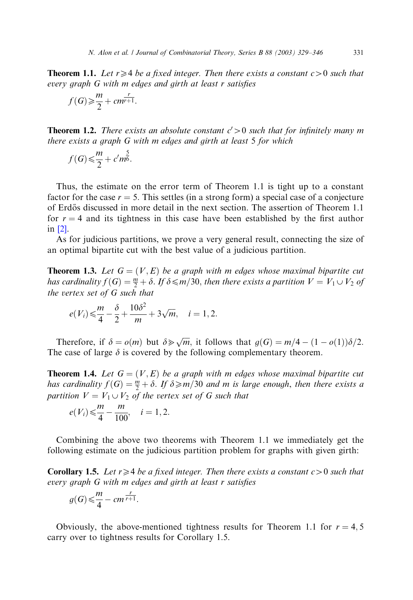**Theorem 1.1.** Let  $r \geq 4$  be a fixed integer. Then there exists a constant  $c > 0$  such that every graph G with m edges and girth at least r satisfies

$$
f(G) \geq \frac{m}{2} + cm^{\frac{r}{r+1}}.
$$

**Theorem 1.2.** There exists an absolute constant  $c' > 0$  such that for infinitely many m there exists a graph G with m edges and girth at least 5 for which

$$
f(G) \leq \frac{m}{2} + c'm^{\frac{5}{6}}.
$$

Thus, the estimate on the error term of Theorem 1.1 is tight up to a constant factor for the case  $r = 5$ . This settles (in a strong form) a special case of a conjecture of Erdős discussed in more detail in the next section. The assertion of Theorem 1.1 for  $r = 4$  and its tightness in this case have been established by the first author in [\[2\].](#page-17-0)

As for judicious partitions, we prove a very general result, connecting the size of an optimal bipartite cut with the best value of a judicious partition.

**Theorem 1.3.** Let  $G = (V, E)$  be a graph with m edges whose maximal bipartite cut has cardinality  $f(G) = \frac{m}{2} + \delta$ . If  $\delta \le m/30$ , then there exists a partition  $V = V_1 \cup V_2$  of the vertex set of G such that

$$
e(V_i) \leq \frac{m}{4} - \frac{\delta}{2} + \frac{10\delta^2}{m} + 3\sqrt{m}, \quad i = 1, 2.
$$

Therefore, if  $\delta = o(m)$  but  $\delta \gg \sqrt{m}$ , it follows that  $g(G) = m/4 - (1 - o(1))\delta/2$ . The case of large  $\delta$  is covered by the following complementary theorem.

**Theorem 1.4.** Let  $G = (V, E)$  be a graph with m edges whose maximal bipartite cut has cardinality  $f(G) = \frac{m}{2} + \delta$ . If  $\delta \ge m/30$  and m is large enough, then there exists a partition  $V = V_1 \cup V_2$  of the vertex set of G such that

$$
e(V_i) \leq \frac{m}{4} - \frac{m}{100}
$$
,  $i = 1, 2$ .

Combining the above two theorems with Theorem 1.1 we immediately get the following estimate on the judicious partition problem for graphs with given girth:

**Corollary 1.5.** Let  $r \geq 4$  be a fixed integer. Then there exists a constant  $c > 0$  such that every graph G with m edges and girth at least r satisfies

$$
g(G) \leq \frac{m}{4} - cm^{\frac{r}{r+1}}.
$$

Obviously, the above-mentioned tightness results for Theorem 1.1 for  $r = 4, 5$ carry over to tightness results for Corollary 1.5.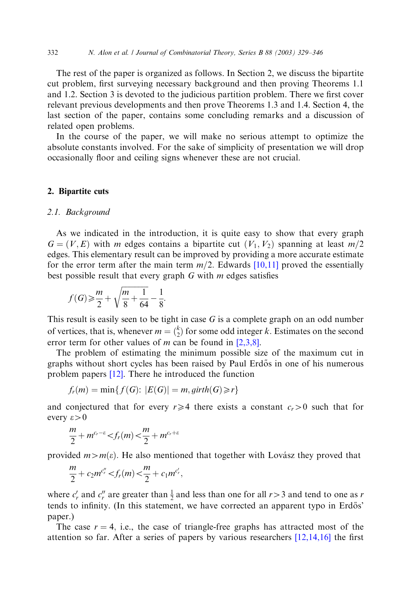The rest of the paper is organized as follows. In Section 2, we discuss the bipartite cut problem, first surveying necessary background and then proving Theorems 1.1 and 1.2. Section 3 is devoted to the judicious partition problem. There we first cover relevant previous developments and then prove Theorems 1.3 and 1.4. Section 4, the last section of the paper, contains some concluding remarks and a discussion of related open problems.

In the course of the paper, we will make no serious attempt to optimize the absolute constants involved. For the sake of simplicity of presentation we will drop occasionally floor and ceiling signs whenever these are not crucial.

## 2. Bipartite cuts

#### 2.1. Background

As we indicated in the introduction, it is quite easy to show that every graph  $G = (V, E)$  with m edges contains a bipartite cut  $(V_1, V_2)$  spanning at least m/2 edges. This elementary result can be improved by providing a more accurate estimate for the error term after the main term  $m/2$ . Edwards [\[10,11\]](#page-17-0) proved the essentially best possible result that every graph  $G$  with  $m$  edges satisfies

$$
f(G) \ge \frac{m}{2} + \sqrt{\frac{m}{8} + \frac{1}{64}} - \frac{1}{8}.
$$

This result is easily seen to be tight in case  $G$  is a complete graph on an odd number of vertices, that is, whenever  $m = \binom{k}{2}$  for some odd integer k. Estimates on the second error term for other values of m can be found in  $[2,3,8]$ .

The problem of estimating the minimum possible size of the maximum cut in graphs without short cycles has been raised by Paul Erdős in one of his numerous problem papers [\[12\].](#page-17-0) There he introduced the function

$$
f_r(m) = \min\{f(G): |E(G)| = m, girth(G) \ge r\}
$$

and conjectured that for every  $r\geq 4$  there exists a constant  $c_r>0$  such that for every  $\varepsilon > 0$ 

$$
\frac{m}{2} + m^{c_r - \varepsilon} < f_r(m) < \frac{m}{2} + m^{c_r + \varepsilon}
$$

provided  $m>m(\varepsilon)$ . He also mentioned that together with Lovász they proved that

$$
\frac{m}{2}+c_2m^{c_r^{\prime\prime}}
$$

where  $c'_r$  and  $c''_r$  are greater than  $\frac{1}{2}$  and less than one for all  $r > 3$  and tend to one as r tends to infinity. (In this statement, we have corrected an apparent typo in Erdős' paper.)

The case  $r = 4$ , i.e., the case of triangle-free graphs has attracted most of the attention so far. After a series of papers by various researchers [\[12,14,16\]](#page-17-0) the first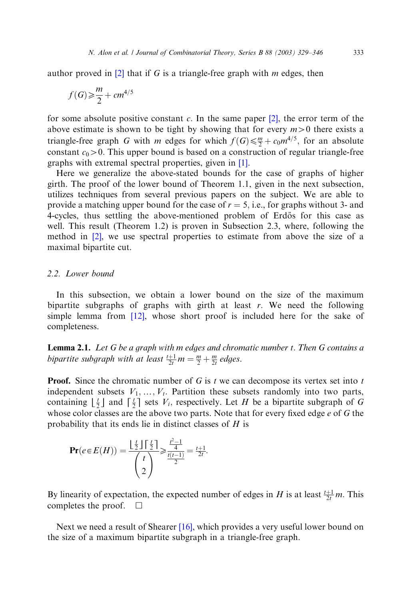author proved in  $[2]$  that if G is a triangle-free graph with m edges, then

$$
f(G) \geq \frac{m}{2} + cm^{4/5}
$$

for some absolute positive constant c. In the same paper  $[2]$ , the error term of the above estimate is shown to be tight by showing that for every  $m>0$  there exists a triangle-free graph G with m edges for which  $f(G) \leq \frac{m}{2} + c_0 m^{4/5}$ , for an absolute constant  $c_0 > 0$ . This upper bound is based on a construction of regular triangle-free graphs with extremal spectral properties, given in [\[1\].](#page-17-0)

Here we generalize the above-stated bounds for the case of graphs of higher girth. The proof of the lower bound of Theorem 1.1, given in the next subsection, utilizes techniques from several previous papers on the subject. We are able to provide a matching upper bound for the case of  $r = 5$ , i.e., for graphs without 3- and 4-cycles, thus settling the above-mentioned problem of Erdős for this case as well. This result (Theorem 1.2) is proven in Subsection 2.3, where, following the method in [\[2\]](#page-17-0), we use spectral properties to estimate from above the size of a maximal bipartite cut.

#### 2.2. Lower bound

In this subsection, we obtain a lower bound on the size of the maximum bipartite subgraphs of graphs with girth at least r: We need the following simple lemma from [\[12\],](#page-17-0) whose short proof is included here for the sake of completeness.

**Lemma 2.1.** Let  $G$  be a graph with m edges and chromatic number  $t$ . Then  $G$  contains a bipartite subgraph with at least  $\frac{t+1}{2t}m = \frac{m}{2} + \frac{m}{2t}$  edges.

**Proof.** Since the chromatic number of  $G$  is t we can decompose its vertex set into t independent subsets  $V_1, \ldots, V_t$ . Partition these subsets randomly into two parts, containing  $\lfloor \frac{t}{2} \rfloor$  and  $\lceil \frac{t}{2} \rceil$  sets  $V_i$ , respectively. Let H be a bipartite subgraph of G whose color classes are the above two parts. Note that for every fixed edge a of G the whose color classes are the above two parts. Note that for every fixed edge  $e$  of  $G$  the probability that its ends lie in distinct classes of H is

$$
\mathbf{Pr}(e \in E(H)) = \frac{\lfloor \frac{t}{2} \rfloor \lceil \frac{t}{2} \rceil}{\binom{t}{2}} \geqslant \frac{\frac{t^2 - 1}{4}}{\frac{t(t - 1)}{2}} = \frac{t + 1}{2t}.
$$

By linearity of expectation, the expected number of edges in H is at least  $\frac{t+1}{2t}m$ . This completes the proof.  $\square$ 

Next we need a result of Shearer [\[16\]](#page-17-0), which provides a very useful lower bound on the size of a maximum bipartite subgraph in a triangle-free graph.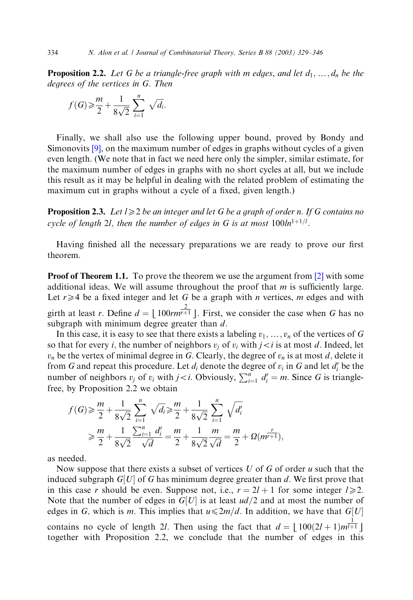**Proposition 2.2.** Let G be a triangle-free graph with m edges, and let  $d_1, \ldots, d_n$  be the degrees of the vertices in G: Then

$$
f(G) \geq \frac{m}{2} + \frac{1}{8\sqrt{2}} \sum_{i=1}^{n} \sqrt{d_i}.
$$

Finally, we shall also use the following upper bound, proved by Bondy and Simonovits [\[9\],](#page-17-0) on the maximum number of edges in graphs without cycles of a given even length. (We note that in fact we need here only the simpler, similar estimate, for the maximum number of edges in graphs with no short cycles at all, but we include this result as it may be helpful in dealing with the related problem of estimating the maximum cut in graphs without a cycle of a fixed, given length.)

**Proposition 2.3.** Let  $l \geq 2$  be an integer and let G be a graph of order n. If G contains no cycle of length 2l, then the number of edges in G is at most  $100ln^{1+1/l}$ .

Having finished all the necessary preparations we are ready to prove our first theorem.

**Proof of Theorem 1.1.** To prove the theorem we use the argument from  $[2]$  with some additional ideas. We will assume throughout the proof that  $m$  is sufficiently large. Let  $r \geq 4$  be a fixed integer and let G be a graph with *n* vertices, *m* edges and with girth at least r. Define  $d = \lfloor 100rm^{2}r^{2} \rfloor$ . First, we consider the case when G has no subgraph with minimum degree greater than  $d$ subgraph with minimum degree greater than  $d$ .

In this case, it is easy to see that there exists a labeling  $v_1,\ldots,v_n$  of the vertices of G so that for every *i*, the number of neighbors  $v_i$  of  $v_i$  with  $i \lt i$  is at most d. Indeed, let  $v_n$  be the vertex of minimal degree in G. Clearly, the degree of  $v_n$  is at most d, delete it from G and repeat this procedure. Let  $d_i$  denote the degree of  $v_i$  in G and let  $d'_i$  be the number of neighbors  $v_j$  of  $v_i$  with  $j < i$ . Obviously,  $\sum_{i=1}^{n} d'_i = m$ . Since G is trianglefree, by Proposition 2.2 we obtain

$$
f(G) \ge \frac{m}{2} + \frac{1}{8\sqrt{2}} \sum_{i=1}^{n} \sqrt{d_i} \ge \frac{m}{2} + \frac{1}{8\sqrt{2}} \sum_{i=1}^{n} \sqrt{d'_i}
$$
  

$$
\ge \frac{m}{2} + \frac{1}{8\sqrt{2}} \frac{\sum_{i=1}^{n} d'_i}{\sqrt{d}} = \frac{m}{2} + \frac{1}{8\sqrt{2}} \frac{m}{\sqrt{d}} = \frac{m}{2} + \Omega(m^{\frac{r}{r+1}}),
$$

as needed.

Now suppose that there exists a subset of vertices  $U$  of  $G$  of order  $u$  such that the induced subgraph  $G[U]$  of G has minimum degree greater than d. We first prove that in this case r should be even. Suppose not, i.e.,  $r = 2l + 1$  for some integer  $l \ge 2$ . Note that the number of edges in  $G[U]$  is at least  $ud/2$  and at most the number of edges in G, which is m. This implies that  $u \leq 2m/d$ . In addition, we have that  $G[U]$ contains no cycle of length 2l. Then using the fact that  $d = \lfloor 100(2l + 1)m^{1/4} \rfloor$ <br>together with Proposition 2.2, we conclude that the number of edges in this together with Proposition 2.2, we conclude that the number of edges in this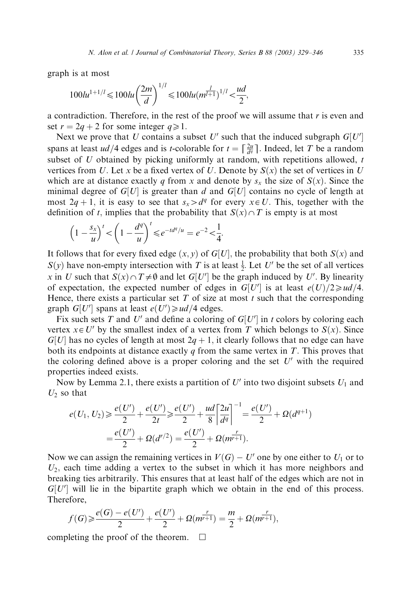graph is at most

$$
100lu^{1+1/l} \le 100lu\left(\frac{2m}{d}\right)^{1/l} \le 100lu(m^{\frac{l}{l+1}})^{1/l} < \frac{ud}{2},
$$

a contradiction. Therefore, in the rest of the proof we will assume that  $r$  is even and set  $r = 2q + 2$  for some integer  $q \ge 1$ .

Next we prove that U contains a subset U' such that the induced subgraph  $G[U]$ spans at least  $ud/4$  edges and is t-colorable for  $t = \left[\frac{2u}{d} \right]$ . Indeed, let T be a random<br>subset of U obtained by nighting uniformly at random, with repetitions allowed. subset of  $U$  obtained by picking uniformly at random, with repetitions allowed,  $t$ vertices from U. Let x be a fixed vertex of U. Denote by  $S(x)$  the set of vertices in U which are at distance exactly q from x and denote by  $s_x$  the size of  $S(x)$ . Since the minimal degree of  $G[U]$  is greater than d and  $G[U]$  contains no cycle of length at most  $2q + 1$ , it is easy to see that  $s_x > d^q$  for every  $x \in U$ . This, together with the definition of t, implies that the probability that  $S(x) \cap T$  is empty is at most

$$
\left(1 - \frac{s_x}{u}\right)^t < \left(1 - \frac{d^q}{u}\right)^t \le e^{-td^q/u} = e^{-2} < \frac{1}{4}.
$$

It follows that for every fixed edge  $(x, y)$  of  $G[U]$ , the probability that both  $S(x)$  and  $S(y)$  have non-empty intersection with T is at least  $\frac{1}{2}$ . Let U' be the set of all vertices x in U such that  $S(x) \cap T \neq \emptyset$  and let  $G[U']$  be the graph induced by U'. By linearity of expectation, the expected number of edges in  $G[U']$  is at least  $e(U)/2 \geq u d/4$ . Hence, there exists a particular set  $T$  of size at most  $t$  such that the corresponding graph  $G[U']$  spans at least  $e(U') \geq u d/4$  edges.

Fix such sets T and U' and define a coloring of  $G[U']$  in t colors by coloring each vertex  $x \in U'$  by the smallest index of a vertex from T which belongs to  $S(x)$ . Since  $G[U]$  has no cycles of length at most  $2q + 1$ , it clearly follows that no edge can have both its endpoints at distance exactly q from the same vertex in  $T$ . This proves that the coloring defined above is a proper coloring and the set  $U'$  with the required properties indeed exists.

Now by Lemma 2.1, there exists a partition of  $U'$  into two disjoint subsets  $U_1$  and  $U_2$  so that

$$
e(U_1, U_2) \ge \frac{e(U')}{2} + \frac{e(U')}{2t} \ge \frac{e(U')}{2} + \frac{ud}{8} \left[ \frac{2u}{d^q} \right]^{-1} = \frac{e(U')}{2} + \Omega(d^{q+1})
$$

$$
= \frac{e(U')}{2} + \Omega(d^{r/2}) = \frac{e(U')}{2} + \Omega(m^{r+1}).
$$

Now we can assign the remaining vertices in  $V(G) - U'$  one by one either to  $U_1$  or to  $U_2$ , each time adding a vertex to the subset in which it has more neighbors and breaking ties arbitrarily. This ensures that at least half of the edges which are not in  $G[U']$  will lie in the bipartite graph which we obtain in the end of this process. Therefore,

$$
f(G) \geqslant \frac{e(G) - e(U')}{2} + \frac{e(U')}{2} + \Omega(m^{\frac{r}{r+1}}) = \frac{m}{2} + \Omega(m^{\frac{r}{r+1}}),
$$

completing the proof of the theorem.  $\Box$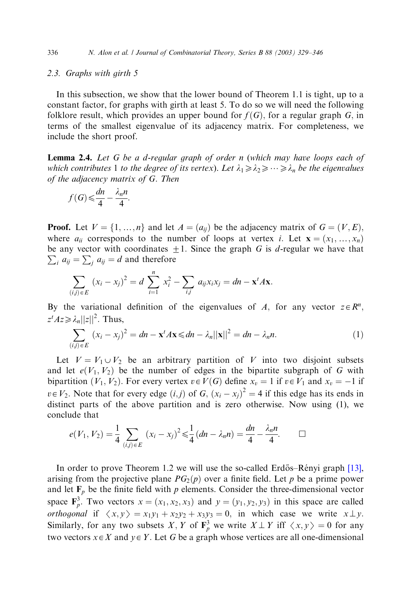## 2.3. Graphs with girth 5

In this subsection, we show that the lower bound of Theorem 1.1 is tight, up to a constant factor, for graphs with girth at least 5. To do so we will need the following folklore result, which provides an upper bound for  $f(G)$ , for a regular graph G, in terms of the smallest eigenvalue of its adjacency matrix. For completeness, we include the short proof.

Lemma 2.4. Let G be a d-regular graph of order n (which may have loops each of which contributes 1 to the degree of its vertex). Let  $\lambda_1 \geq \lambda_2 \geq \cdots \geq \lambda_n$  be the eigenvalues of the adjacency matrix of G: Then

$$
f(G) \leqslant \frac{dn}{4} - \frac{\lambda_n n}{4}.
$$

**Proof.** Let  $V = \{1, ..., n\}$  and let  $A = (a_{ij})$  be the adjacency matrix of  $G = (V, E)$ ; where  $a_{ii}$  corresponds to the number of loops at vertex i. Let  $\mathbf{x} = (x_1, \ldots, x_n)$ be any vector with coordinates  $\pm 1$ . Since the graph G is d-regular we have that  $\sum_i a_{ij} = \sum_j a_{ij} = d$  and therefore

$$
\sum_{(i,j)\in E} (x_i - x_j)^2 = d \sum_{i=1}^n x_i^2 - \sum_{i,j} a_{ij} x_i x_j = dn - \mathbf{x}^t A \mathbf{x}.
$$

By the variational definition of the eigenvalues of A, for any vector  $z \in \mathbb{R}^n$ ,  $z^t A z \geq \lambda_n ||z||^2$ . Thus,

$$
\sum_{(i,j)\in E} (x_i - x_j)^2 = dn - \mathbf{x}^t A \mathbf{x} \leq d n - \lambda_n ||\mathbf{x}||^2 = dn - \lambda_n n. \tag{1}
$$

Let  $V = V_1 \cup V_2$  be an arbitrary partition of V into two disjoint subsets and let  $e(V_1, V_2)$  be the number of edges in the bipartite subgraph of G with bipartition  $(V_1, V_2)$ . For every vertex  $v \in V(G)$  define  $x_v = 1$  if  $v \in V_1$  and  $x_v = -1$  if  $v \in V_2$ . Note that for every edge  $(i, j)$  of  $G$ ,  $(x_i - x_j)^2 = 4$  if this edge has its ends in distinct parts of the above partition and is zero otherwise. Now using (1), we conclude that

$$
e(V_1, V_2) = \frac{1}{4} \sum_{(i,j) \in E} (x_i - x_j)^2 \leq \frac{1}{4} (dn - \lambda_n n) = \frac{dn}{4} - \frac{\lambda_n n}{4}.
$$

In order to prove Theorem 1.2 we will use the so-called Erdős–Rényi graph  $[13]$ , arising from the projective plane  $PG_2(p)$  over a finite field. Let p be a prime power and let  $F_p$  be the finite field with p elements. Consider the three-dimensional vector space  $\mathbf{F}_p^3$ . Two vectors  $x = (x_1, x_2, x_3)$  and  $y = (y_1, y_2, y_3)$  in this space are called *orthogonal* if  $\langle x, y \rangle = x_1y_1 + x_2y_2 + x_3y_3 = 0$ , in which case we write  $x \perp y$ . Similarly, for any two subsets X, Y of  $\mathbf{F}_p^3$  we write  $X \perp Y$  iff  $\langle x, y \rangle = 0$  for any two vectors  $y \in X$  and  $y \in Y$ . Let G has a graph whose vections are all any dimensional two vectors  $x \in X$  and  $y \in Y$ . Let G be a graph whose vertices are all one-dimensional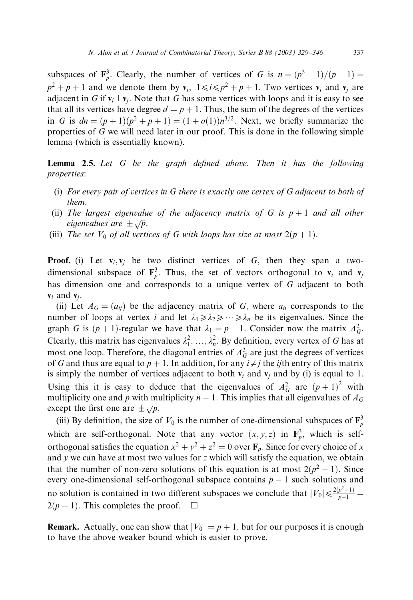subspaces of  $\mathbf{F}_p^3$ . Clearly, the number of vertices of G is  $n = (p^3 - 1)/(p - 1) =$  $p^2 + p + 1$  and we denote them by  $v_i$ ,  $1 \le i \le p^2 + p + 1$ . Two vertices  $v_i$  and  $v_j$  are adjacent in G if  $\mathbf{v}_i \perp \mathbf{v}_i$ . Note that G has some vertices with loops and it is easy to see that all its vertices have degree  $d = p + 1$ . Thus, the sum of the degrees of the vertices in G is  $dn = (p + 1)(p^2 + p + 1) = (1 + o(1))n^{3/2}$ . Next, we briefly summarize the properties of  $G$  we will need later in our proof. This is done in the following simple lemma (which is essentially known).

Lemma 2.5. Let G be the graph defined above. Then it has the following properties:

- (i) For every pair of vertices in  $G$  there is exactly one vertex of  $G$  adjacent to both of them.
- (ii) The largest eigenvalue of the adjacency matrix of G is  $p + 1$  and all other The largest eigenvalues<br>eigenvalues are  $\pm \sqrt{p}$ .
- (iii) The set  $V_0$  of all vertices of G with loops has size at most  $2(p + 1)$ .

**Proof.** (i) Let  $v_i$ ,  $v_j$  be two distinct vertices of G, then they span a twodimensional subspace of  $\mathbf{F}_p^3$ . Thus, the set of vectors orthogonal to  $\mathbf{v}_i$  and  $\mathbf{v}_j$ has dimension one and corresponds to a unique vertex of G adjacent to both  $v_i$  and  $v_i$ .

(ii) Let  $A_G = (a_{ij})$  be the adjacency matrix of G, where  $a_{ii}$  corresponds to the number of loops at vertex i and let  $\lambda_1 \geq \lambda_2 \geq \cdots \geq \lambda_n$  be its eigenvalues. Since the graph G is  $(p + 1)$ -regular we have that  $\lambda_1 = p + 1$ . Consider now the matrix  $A_G^2$ . Clearly, this matrix has eigenvalues  $\lambda_1^2, \ldots, \lambda_n^2$ . By definition, every vertex of G has at most one loop. Therefore, the diagonal entries of  $A_G^2$  are just the degrees of vertices of G and thus are equal to  $p + 1$ . In addition, for any  $i \neq j$  the *ij*th entry of this matrix is simply the number of vertices adjacent to both  $v_i$  and  $v_j$  and by (i) is equal to 1. Using this it is easy to deduce that the eigenvalues of  $A_G^2$  are  $(p+1)^2$  with multiplicity one and p with multiplicity  $n - 1$ . This implies that all eigenvalues of  $A_G$ except the first one are  $\pm \sqrt{p}$ .

(iii) By definition, the size of  $V_0$  is the number of one-dimensional subspaces of  $\mathbf{F}_p^3$ which are self-orthogonal. Note that any vector  $(x, y, z)$  in  $\mathbf{F}_p^3$ , which is selforthogonal satisfies the equation  $x^2 + y^2 + z^2 = 0$  over  $\mathbf{F}_p$ . Since for every choice of x and  $y$  we can have at most two values for  $z$  which will satisfy the equation, we obtain that the number of non-zero solutions of this equation is at most  $2(p^2 - 1)$ . Since every one-dimensional self-orthogonal subspace contains  $p - 1$  such solutions and no solution is contained in two different subspaces we conclude that  $|V_0| \leq \frac{2(p^2-1)}{p-1}$  $2(p + 1)$ . This completes the proof.  $\Box$ 

**Remark.** Actually, one can show that  $|V_0| = p + 1$ , but for our purposes it is enough to have the above weaker bound which is easier to prove.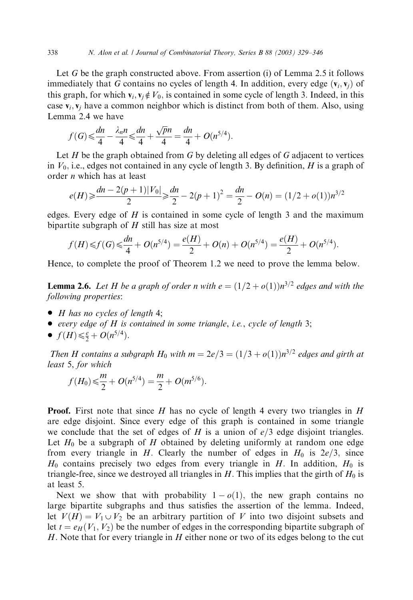Let G be the graph constructed above. From assertion (i) of Lemma 2.5 it follows immediately that G contains no cycles of length 4. In addition, every edge  $(v_i, v_j)$  of this graph, for which  $\mathbf{v}_i, \mathbf{v}_j \notin V_0$ , is contained in some cycle of length 3. Indeed, in this case  $v_i$ ,  $v_i$  have a common neighbor which is distinct from both of them. Also, using Lemma 2.4 we have

$$
f(G) \leq \frac{dn}{4} - \frac{\lambda_n n}{4} \leq \frac{dn}{4} + \frac{\sqrt{p}n}{4} = \frac{dn}{4} + O(n^{5/4}).
$$

Let  $H$  be the graph obtained from  $G$  by deleting all edges of  $G$  adjacent to vertices in  $V_0$ , i.e., edges not contained in any cycle of length 3. By definition, H is a graph of order n which has at least

$$
e(H) \ge \frac{dn - 2(p+1)|V_0|}{2} \ge \frac{dn}{2} - 2(p+1)^2 = \frac{dn}{2} - O(n) = (1/2 + o(1))n^{3/2}
$$

edges. Every edge of  $H$  is contained in some cycle of length 3 and the maximum bipartite subgraph of  $H$  still has size at most

$$
f(H) \leq f(G) \leq \frac{dn}{4} + O(n^{5/4}) = \frac{e(H)}{2} + O(n) + O(n^{5/4}) = \frac{e(H)}{2} + O(n^{5/4}).
$$

Hence, to complete the proof of Theorem 1.2 we need to prove the lemma below.

**Lemma 2.6.** Let H be a graph of order n with  $e = (1/2 + o(1))n^{3/2}$  edges and with the following properties:

- $\bullet$  H has no cycles of length 4;
- every edge of  $H$  is contained in some triangle, i.e., cycle of length 3;
- $f(H) \leq \frac{e}{2} + O(n^{5/4}).$

Then H contains a subgraph  $H_0$  with  $m = 2e/3 = (1/3 + o(1))n^{3/2}$  edges and girth at least 5, for which

$$
f(H_0) \leq \frac{m}{2} + O(n^{5/4}) = \frac{m}{2} + O(m^{5/6}).
$$

**Proof.** First note that since H has no cycle of length 4 every two triangles in H are edge disjoint. Since every edge of this graph is contained in some triangle we conclude that the set of edges of H is a union of  $e/3$  edge disjoint triangles. Let  $H_0$  be a subgraph of H obtained by deleting uniformly at random one edge from every triangle in H. Clearly the number of edges in  $H_0$  is  $2e/3$ , since  $H_0$  contains precisely two edges from every triangle in H. In addition,  $H_0$  is triangle-free, since we destroyed all triangles in  $H$ . This implies that the girth of  $H_0$  is at least 5.

Next we show that with probability  $1 - o(1)$ , the new graph contains no large bipartite subgraphs and thus satisfies the assertion of the lemma. Indeed, let  $V(H) = V_1 \cup V_2$  be an arbitrary partition of V into two disjoint subsets and let  $t = e_H(V_1, V_2)$  be the number of edges in the corresponding bipartite subgraph of H. Note that for every triangle in  $H$  either none or two of its edges belong to the cut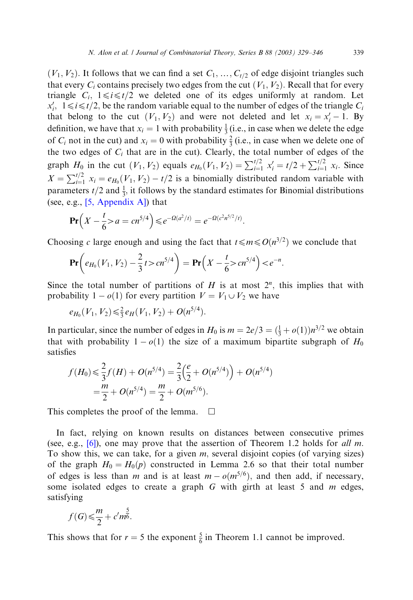$(V_1, V_2)$ . It follows that we can find a set  $C_1, \ldots, C_{t/2}$  of edge disjoint triangles such that every  $C_i$  contains precisely two edges from the cut  $(V_1, V_2)$ . Recall that for every triangle  $C_i$ ,  $1 \le i \le t/2$  we deleted one of its edges uniformly at random. Let  $x'_i$ ,  $1 \le i \le t/2$ , be the random variable equal to the number of edges of the triangle  $C_i$ that belong to the cut  $(V_1, V_2)$  and were not deleted and let  $x_i = x'_i - 1$ . By definition, we have that  $x_i = 1$  with probability  $\frac{1}{3}$  (i.e., in case when we delete the edge of  $C_i$  not in the cut) and  $x_i = 0$  with probability  $\frac{2}{3}$  (i.e., in case when we delete one of the two edges of  $C_i$  that are in the cut). Clearly, the total number of edges of the graph  $H_0$  in the cut  $(V_1, V_2)$  equals  $e_{H_0}(V_1, V_2) = \sum_{i=1}^{t/2} x'_i = t/2 + \sum_{i=1}^{t/2} x_i$ . Since  $X = \sum_{i=1}^{t/2} x_i = e_{H_0}(V_1, V_2) - t/2$  is a binomially distributed random variable with parameters  $t/2$  and  $\frac{1}{3}$ , it follows by the standard estimates for Binomial distributions (see, e.g., [\[5, Appendix A\]\)](#page-17-0) that

$$
\Pr\left(X - \frac{t}{6} > a = cn^{5/4}\right) \leqslant e^{-\Omega(a^2/t)} = e^{-\Omega(c^2n^{5/2}/t)}.
$$

Choosing c large enough and using the fact that  $t \le m \le O(n^{3/2})$  we conclude that

$$
\mathbf{Pr}\left(e_{H_0}(V_1, V_2) - \frac{2}{3}t > cn^{5/4}\right) = \mathbf{Pr}\left(X - \frac{t}{6} > cn^{5/4}\right) < e^{-n}.
$$

Since the total number of partitions of H is at most  $2^n$ , this implies that with probability  $1 - o(1)$  for every partition  $V = V_1 \cup V_2$  we have

$$
e_{H_0}(V_1, V_2) \leq \frac{2}{3} e_H(V_1, V_2) + O(n^{5/4}).
$$

In particular, since the number of edges in  $H_0$  is  $m = 2e/3 = (\frac{1}{3} + o(1))n^{3/2}$  we obtain that with probability  $1 - o(1)$  the size of a maximum bipartite subgraph of  $H_0$ satisfies

$$
f(H_0) \leq \frac{2}{3} f(H) + O(n^{5/4}) = \frac{2}{3} \left(\frac{e}{2} + O(n^{5/4})\right) + O(n^{5/4})
$$
  
=  $\frac{m}{2} + O(n^{5/4}) = \frac{m}{2} + O(m^{5/6}).$ 

This completes the proof of the lemma.  $\Box$ 

In fact, relying on known results on distances between consecutive primes (see, e.g., [\[6\]\)](#page-17-0), one may prove that the assertion of Theorem 1.2 holds for all m. To show this, we can take, for a given  $m$ , several disjoint copies (of varying sizes) of the graph  $H_0 = H_0(p)$  constructed in Lemma 2.6 so that their total number of edges is less than m and is at least  $m - o(m^{5/6})$ , and then add, if necessary, some isolated edges to create a graph  $G$  with girth at least 5 and  $m$  edges, satisfying

$$
f(G) \leq \frac{m}{2} + c'm^{\frac{5}{6}}.
$$

This shows that for  $r = 5$  the exponent  $\frac{5}{6}$  in Theorem 1.1 cannot be improved.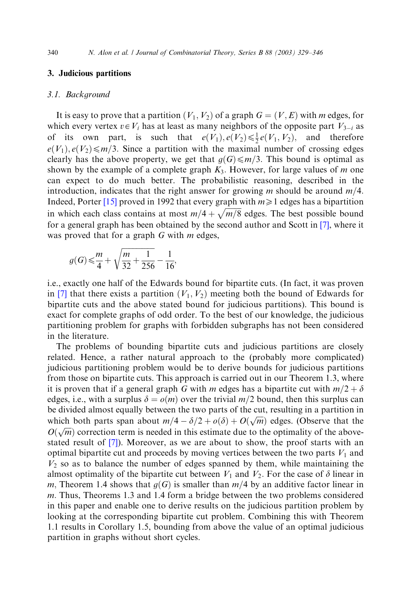# 3. Judicious partitions

#### 3.1. Background

It is easy to prove that a partition  $(V_1, V_2)$  of a graph  $G = (V, E)$  with m edges, for which every vertex  $v \in V_i$  has at least as many neighbors of the opposite part  $V_{3-i}$  as of its own part, is such that  $e(V_1), e(V_2) \leq \frac{1}{2}e(V_1, V_2)$ , and therefore  $e(V_1), e(V_2) \le m/3$ . Since a partition with the maximal number of crossing edges clearly has the above property, we get that  $q(G) \leq m/3$ . This bound is optimal as shown by the example of a complete graph  $K_3$ . However, for large values of m one can expect to do much better. The probabilistic reasoning, described in the introduction, indicates that the right answer for growing m should be around  $m/4$ . Indeed, Porter [\[15\]](#page-17-0) proved in 1992 that every graph with  $m \ge 1$  edges has a bipartition in which each class contains at most  $m/4 + \sqrt{m/8}$  edges. The best possible bound for a general graph has been obtained by the second author and Scott in [\[7\]](#page-17-0), where it was proved that for a graph  $G$  with  $m$  edges,

$$
g(G) \leq \frac{m}{4} + \sqrt{\frac{m}{32} + \frac{1}{256}} - \frac{1}{16},
$$

i.e., exactly one half of the Edwards bound for bipartite cuts. (In fact, it was proven in [\[7\]](#page-17-0) that there exists a partition  $(V_1, V_2)$  meeting both the bound of Edwards for bipartite cuts and the above stated bound for judicious partitions). This bound is exact for complete graphs of odd order. To the best of our knowledge, the judicious partitioning problem for graphs with forbidden subgraphs has not been considered in the literature.

The problems of bounding bipartite cuts and judicious partitions are closely related. Hence, a rather natural approach to the (probably more complicated) judicious partitioning problem would be to derive bounds for judicious partitions from those on bipartite cuts. This approach is carried out in our Theorem 1.3, where it is proven that if a general graph G with m edges has a bipartite cut with  $m/2 + \delta$ edges, i.e., with a surplus  $\delta = o(m)$  over the trivial  $m/2$  bound, then this surplus can be divided almost equally between the two parts of the cut, resulting in a partition in which both parts span about  $m/4 - \delta/2 + o(\delta) + O(\sqrt{m})$  edges. (Observe that the which both parts span about  $m_f + v_f^2 + v_0 + v_0$  ( $\sqrt{m_f}$ ) cages. (Observe that the  $O(\sqrt{m})$  correction term is needed in this estimate due to the optimality of the abovestated result of [\[7\]\)](#page-17-0). Moreover, as we are about to show, the proof starts with an optimal bipartite cut and proceeds by moving vertices between the two parts  $V_1$  and  $V_2$  so as to balance the number of edges spanned by them, while maintaining the almost optimality of the bipartite cut between  $V_1$  and  $V_2$ . For the case of  $\delta$  linear in m, Theorem 1.4 shows that  $g(G)$  is smaller than  $m/4$  by an additive factor linear in m: Thus, Theorems 1.3 and 1.4 form a bridge between the two problems considered in this paper and enable one to derive results on the judicious partition problem by looking at the corresponding bipartite cut problem. Combining this with Theorem 1.1 results in Corollary 1.5, bounding from above the value of an optimal judicious partition in graphs without short cycles.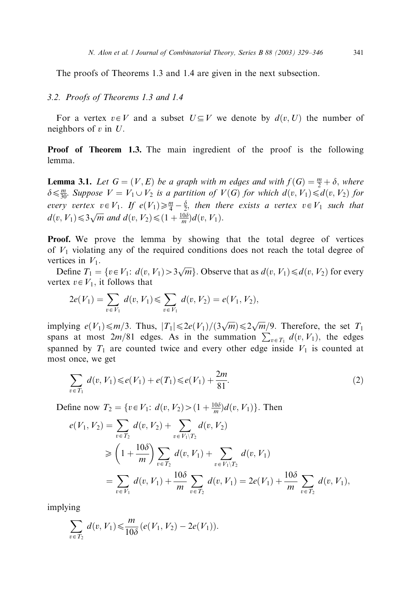The proofs of Theorems 1.3 and 1.4 are given in the next subsection.

#### 3.2. Proofs of Theorems 1.3 and 1.4

For a vertex  $v \in V$  and a subset  $U \subseteq V$  we denote by  $d(v, U)$  the number of neighbors of  $v$  in  $U$ .

Proof of Theorem 1.3. The main ingredient of the proof is the following lemma.

**Lemma 3.1.** Let  $G = (V, E)$  be a graph with m edges and with  $f(G) = \frac{m}{2} + \delta$ , where  $\delta \leq \frac{m}{30}$ . Suppose  $V = V_1 \cup V_2$  is a partition of  $V(G)$  for which  $d(v, V_1) \leq d(v, V_2)$  for every vertex  $v \in V_1$ . If  $e(V_1) \geq \frac{m}{4} - \frac{\delta}{2}$ , then there exists a vertex  $v \in V_1$  such that  $d(v, V_1) \leq \frac{3}{W}$  and  $d(v, V_2) \leq (1 + \frac{10\delta}{m})d(v, V_1)$ .

Proof. We prove the lemma by showing that the total degree of vertices of  $V_1$  violating any of the required conditions does not reach the total degree of vertices in  $V_1$ .

Define  $T_1 = \{v \in V_1: d(v, V_1) > \frac{3}{\sqrt{m}}\}$ . Observe that as  $d(v, V_1) \le d(v, V_2)$  for every vertex  $v \in V_1$ , it follows that

$$
2e(V_1) = \sum_{v \in V_1} d(v, V_1) \leq \sum_{v \in V_1} d(v, V_2) = e(V_1, V_2),
$$

implying  $e(V_1)\leq m/3$ . Thus,  $|T_1|\leq 2e(V_1)/(3\sqrt{m})\leq 2\sqrt{m}/9$ . Therefore, the set  $T_1$ spans at most  $2m/81$  edges. As in the summation  $\sum_{v \in T_1} d(v, V_1)$ , the edges spanned by  $T_1$  are counted twice and every other edge inside  $V_1$  is counted at most once, we get

$$
\sum_{v \in T_1} d(v, V_1) \leq e(V_1) + e(T_1) \leq e(V_1) + \frac{2m}{81}.
$$
\n(2)

Define now  $T_2 = \{v \in V_1: d(v, V_2) > (1 + \frac{10\delta}{m})d(v, V_1)\}\.$  Then

$$
e(V_1, V_2) = \sum_{v \in T_2} d(v, V_2) + \sum_{v \in V_1 \setminus T_2} d(v, V_2)
$$
  
\n
$$
\geq \left(1 + \frac{10\delta}{m}\right) \sum_{v \in T_2} d(v, V_1) + \sum_{v \in V_1 \setminus T_2} d(v, V_1)
$$
  
\n
$$
= \sum_{v \in V_1} d(v, V_1) + \frac{10\delta}{m} \sum_{v \in T_2} d(v, V_1) = 2e(V_1) + \frac{10\delta}{m} \sum_{v \in T_2} d(v, V_1),
$$

implying

$$
\sum_{v \in T_2} d(v, V_1) \leq \frac{m}{10\delta} (e(V_1, V_2) - 2e(V_1)).
$$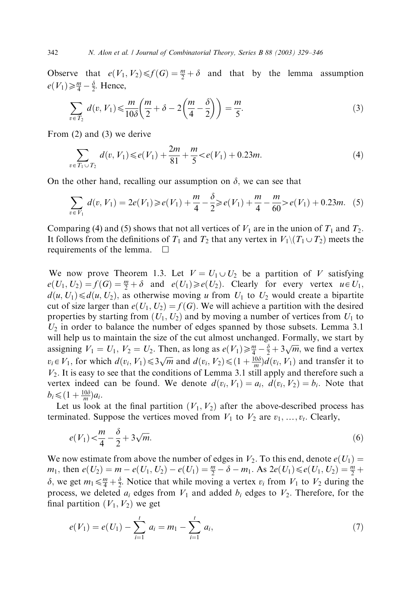Observe that  $e(V_1, V_2) \le f(G) = \frac{m}{2} + \delta$  and that by the lemma assumption  $e(V_1) \geq \frac{m}{4} - \frac{\delta}{2}$ . Hence,

$$
\sum_{v \in T_2} d(v, V_1) \leq \frac{m}{10\delta} \left( \frac{m}{2} + \delta - 2\left(\frac{m}{4} - \frac{\delta}{2}\right) \right) = \frac{m}{5}.
$$
\n(3)

From (2) and (3) we derive

$$
\sum_{v \in T_1 \cup T_2} d(v, V_1) \leq e(V_1) + \frac{2m}{81} + \frac{m}{5} < e(V_1) + 0.23m. \tag{4}
$$

On the other hand, recalling our assumption on  $\delta$ , we can see that

$$
\sum_{v \in V_1} d(v, V_1) = 2e(V_1) \ge e(V_1) + \frac{m}{4} - \frac{\delta}{2} \ge e(V_1) + \frac{m}{4} - \frac{m}{60} > e(V_1) + 0.23m. \tag{5}
$$

Comparing (4) and (5) shows that not all vertices of  $V_1$  are in the union of  $T_1$  and  $T_2$ . It follows from the definitions of  $T_1$  and  $T_2$  that any vertex in  $V_1 \setminus (T_1 \cup T_2)$  meets the requirements of the lemma.  $\Box$ 

We now prove Theorem 1.3. Let  $V = U_1 \cup U_2$  be a partition of V satisfying  $e(U_1, U_2) = f(G) = \frac{m}{2} + \delta$  and  $e(U_1) \ge e(U_2)$ . Clearly for every vertex  $u \in U_1$ ,  $d(u, U_1) \le d(u, U_2)$ , as otherwise moving u from  $U_1$  to  $U_2$  would create a bipartite cut of size larger than  $e(U_1, U_2) = f(G)$ . We will achieve a partition with the desired properties by starting from  $(U_1, U_2)$  and by moving a number of vertices from  $U_1$  to  $U_2$  in order to balance the number of edges spanned by those subsets. Lemma 3.1 will help us to maintain the size of the cut almost unchanged. Formally, we start by assigning  $V_1 = U_1$ ,  $V_2 = U_2$ . Then, as long as  $e(V_1) \ge \frac{m}{4} - \frac{\delta}{2} + 3\sqrt{m}$ , we find a vertex  $v_i \in V_1$ , for which  $d(v_i, V_1) \leq 3\sqrt{m}$  and  $d(v_i, V_2) \leq (1 + \frac{10\delta}{m})d(v_i, V_1)$  and transfer it to  $V_2$ . It is easy to see that the conditions of Lemma 3.1 still apply and therefore such a vertex indeed can be found. We denote  $d(v_i, V_1) = a_i$ ,  $d(v_i, V_2) = b_i$ . Note that  $b_i \leqslant (1 + \frac{10\delta}{m})a_i.$ 

Let us look at the final partition  $(V_1, V_2)$  after the above-described process has terminated. Suppose the vertices moved from  $V_1$  to  $V_2$  are  $v_1, \ldots, v_t$ . Clearly,

$$
e(V_1) < \frac{m}{4} - \frac{\delta}{2} + 3\sqrt{m}.
$$
 (6)

We now estimate from above the number of edges in  $V_2$ . To this end, denote  $e(U_1)$  $m_1$ , then  $e(U_2) = m - e(U_1, U_2) - e(U_1) = \frac{m}{2} - \delta - m_1$ . As  $2e(U_1) \le e(U_1, U_2) = \frac{m}{2} + \frac{m}{2}$  $\delta$ , we get  $m_1 \leq \frac{m}{4} + \frac{\delta}{2}$ . Notice that while moving a vertex  $v_i$  from  $V_1$  to  $V_2$  during the process, we deleted  $a_i$  edges from  $V_1$  and added  $b_i$  edges to  $V_2$ . Therefore, for the final partition  $(V_1, V_2)$  we get

$$
e(V_1) = e(U_1) - \sum_{i=1}^{t} a_i = m_1 - \sum_{i=1}^{t} a_i,
$$
\n(7)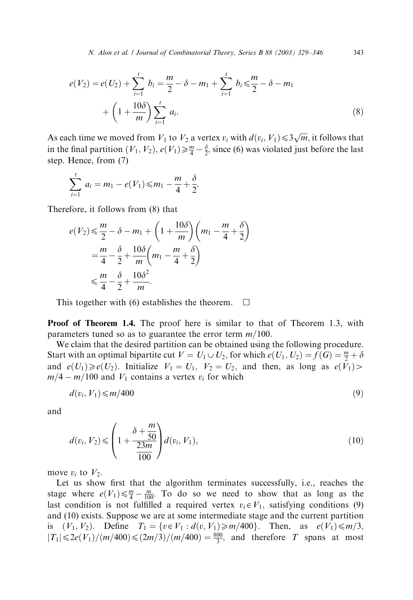$$
e(V_2) = e(V_2) + \sum_{i=1}^{t} b_i = \frac{m}{2} - \delta - m_1 + \sum_{i=1}^{t} b_i \le \frac{m}{2} - \delta - m_1 + \left(1 + \frac{10\delta}{m}\right) \sum_{i=1}^{t} a_i.
$$
\n(8)

As each time we moved from  $V_1$  to  $V_2$  a vertex  $v_i$  with  $d(v_i, V_1) \leq 3\sqrt{m}$ , it follows that in the final partition  $(V_1, V_2)$ ,  $e(V_1) \ge \frac{m}{4} - \frac{\delta}{2}$ , since (6) was violated just before the last step. Hence, from (7)

$$
\sum_{i=1}^{t} a_i = m_1 - e(V_1) \leq m_1 - \frac{m}{4} + \frac{\delta}{2}.
$$

Therefore, it follows from (8) that

$$
e(V_2) \leq \frac{m}{2} - \delta - m_1 + \left(1 + \frac{10\delta}{m}\right)\left(m_1 - \frac{m}{4} + \frac{\delta}{2}\right)
$$
  
=  $\frac{m}{4} - \frac{\delta}{2} + \frac{10\delta}{m}\left(m_1 - \frac{m}{4} + \frac{\delta}{2}\right)$   
 $\leq \frac{m}{4} - \frac{\delta}{2} + \frac{10\delta^2}{m}.$ 

This together with (6) establishes the theorem.  $\Box$ 

Proof of Theorem 1.4. The proof here is similar to that of Theorem 1.3, with parameters tuned so as to guarantee the error term  $m/100$ .

We claim that the desired partition can be obtained using the following procedure. Start with an optimal bipartite cut  $V = U_1 \cup U_2$ , for which  $e(U_1, U_2) = f(G) = \frac{m}{2} + \delta$ and  $e(U_1) \geq e(U_2)$ . Initialize  $V_1 = U_1$ ,  $V_2 = U_2$ , and then, as long as  $e(V_1)$  $m/4 - m/100$  and  $V_1$  contains a vertex  $v_i$  for which

$$
d(v_i, V_1) \leqslant m/400 \tag{9}
$$

and

$$
d(v_i, V_2) \leqslant \left(1 + \frac{\delta + \frac{m}{50}}{\frac{23m}{100}}\right) d(v_i, V_1),\tag{10}
$$

move  $v_i$  to  $V_2$ .

Let us show first that the algorithm terminates successfully, i.e., reaches the stage where  $e(V_1) \leq \frac{m}{4} - \frac{m}{100}$ . To do so we need to show that as long as the last condition is not fulfilled a required vertex  $v_i \in V_1$ , satisfying conditions (9) and (10) exists. Suppose we are at some intermediate stage and the current partition is  $(V_1, V_2)$ . Define  $T_1 = \{v \in V_1 : d(v, V_1) \ge m/400\}$ . Then, as  $e(V_1) \le m/3$ ,  $|T_1| \le 2e(V_1)/(m/400) \le (2m/3)/(m/400) = \frac{800}{3}$ , and therefore T spans at most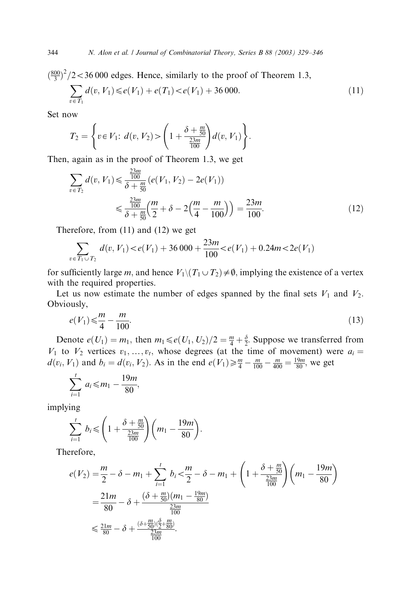$\left(\frac{800}{3}\right)^2/2$  < 36 000 edges. Hence, similarly to the proof of Theorem 1.3,  $\overline{\phantom{a}}$  $v \in T_1$  $d(v, V_1) \leq e(V_1) + e(T_1) < e(V_1) + 36\,000.$  (11)

Set now

$$
T_2 = \left\{ v \in V_1: d(v, V_2) > \left( 1 + \frac{\delta + \frac{m}{50}}{\frac{23m}{100}} \right) d(v, V_1) \right\}.
$$

Then, again as in the proof of Theorem 1.3, we get

$$
\sum_{v \in T_2} d(v, V_1) \le \frac{\frac{23m}{100}}{\delta + \frac{m}{50}} (e(V_1, V_2) - 2e(V_1))
$$
  

$$
\le \frac{\frac{23m}{100}}{\delta + \frac{m}{50}} \left(\frac{m}{2} + \delta - 2\left(\frac{m}{4} - \frac{m}{100}\right)\right) = \frac{23m}{100}.
$$
 (12)

Therefore, from (11) and (12) we get

$$
\sum_{v \in T_1 \cup T_2} d(v, V_1) < e(V_1) + 36\,000 + \frac{23m}{100} < e(V_1) + 0.24m < 2e(V_1)
$$

for sufficiently large m, and hence  $V_1 \setminus (T_1 \cup T_2) \neq \emptyset$ , implying the existence of a vertex with the required properties.

Let us now estimate the number of edges spanned by the final sets  $V_1$  and  $V_2$ . Obviously,

$$
e(V_1) \leq \frac{m}{4} - \frac{m}{100}.\tag{13}
$$

Denote  $e(U_1) = m_1$ , then  $m_1 \leq e(U_1, U_2)/2 = \frac{m}{4} + \frac{\delta}{2}$ . Suppose we transferred from  $V_1$  to  $V_2$  vertices  $v_1, \ldots, v_t$ , whose degrees (at the time of movement) were  $a_i =$  $d(v_i, V_1)$  and  $b_i = d(v_i, V_2)$ . As in the end  $e(V_1) \ge \frac{m}{4} - \frac{m}{100} - \frac{m}{400} = \frac{19m}{80}$ , we get

$$
\sum_{i=1}^{t} a_i \leq m_1 - \frac{19m}{80},
$$

implying

$$
\sum_{i=1}^{t} b_i \leqslant \left(1 + \frac{\delta + \frac{m}{50}}{\frac{23m}{100}}\right) \left(m_1 - \frac{19m}{80}\right).
$$

Therefore,

$$
e(V_2) = \frac{m}{2} - \delta - m_1 + \sum_{i=1}^{t} b_i < \frac{m}{2} - \delta - m_1 + \left(1 + \frac{\delta + \frac{m}{50}}{\frac{23m}{100}}\right) \left(m_1 - \frac{19m}{80}\right)
$$
  
=  $\frac{21m}{80} - \delta + \frac{(\delta + \frac{m}{50})(m_1 - \frac{19m}{80})}{\frac{23m}{100}}$   
 $\leq \frac{21m}{80} - \delta + \frac{(\delta + \frac{m}{50})(\frac{\delta}{2} + \frac{m}{80})}{\frac{23m}{100}}.$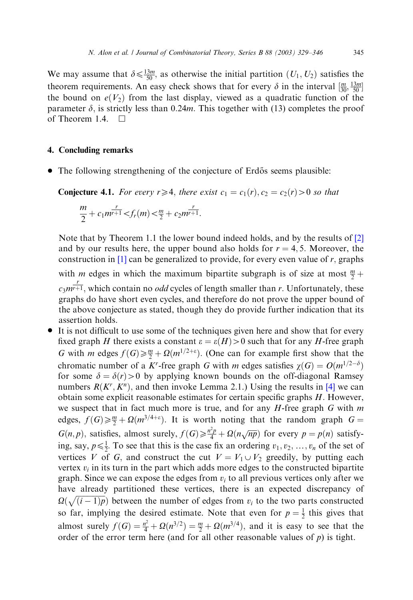We may assume that  $\delta \le \frac{13m}{50}$ , as otherwise the initial partition  $(U_1, U_2)$  satisfies the theorem requirements. An easy check shows that for every  $\delta$  in the interval  $\left[\frac{m}{30}, \frac{13m}{50}\right]$ the bound on  $e(V_2)$  from the last display, viewed as a quadratic function of the parameter  $\delta$ , is strictly less than 0.24m. This together with (13) completes the proof of Theorem 1.4.  $\Box$ 

#### 4. Concluding remarks

• The following strengthening of the conjecture of Erdős seems plausible:

**Conjecture 4.1.** For every  $r \ge 4$ , there exist  $c_1 = c_1(r)$ ,  $c_2 = c_2(r) > 0$  so that

$$
\frac{m}{2} + c_1 m^{\frac{r}{r+1}} < f_r(m) < \frac{m}{2} + c_2 m^{\frac{r}{r+1}}.
$$

Note that by Theorem 1.1 the lower bound indeed holds, and by the results of [\[2\]](#page-17-0) and by our results here, the upper bound also holds for  $r = 4, 5$ . Moreover, the construction in  $[1]$  can be generalized to provide, for every even value of r, graphs

with *m* edges in which the maximum bipartite subgraph is of size at most  $\frac{m}{2}$  +  $c_3m^{\frac{r}{r+1}}$ , which contain no *odd* cycles of length smaller than r. Unfortunately, these graphs do have short even cycles, and therefore do not prove the upper bound of the above conjecture as stated, though they do provide further indication that its assertion holds.

• It is not difficult to use some of the techniques given here and show that for every fixed graph H there exists a constant  $\varepsilon = \varepsilon(H) > 0$  such that for any H-free graph G with m edges  $f(G) \ge \frac{m}{2} + \Omega(m^{1/2+\epsilon})$ . (One can for example first show that the chromatic number of a K<sup>r</sup>-free graph G with m edges satisfies  $\chi(G) = O(m^{1/2-\delta})$ for some  $\delta = \delta(r) > 0$  by applying known bounds on the off-diagonal Ramsey numbers  $R(K^r, K^n)$ , and then invoke Lemma 2.1.) Using the results in [\[4\]](#page-17-0) we can obtain some explicit reasonable estimates for certain specific graphs H: However, we suspect that in fact much more is true, and for any  $H$ -free graph  $G$  with  $m$ edges,  $f(G) \geq \frac{m}{2} + \Omega(m^{3/4+\epsilon})$ . It is worth noting that the random graph  $G =$  $G(n, p)$ , satisfies, almost surely,  $f(G) \ge \frac{n^2p}{4} + \Omega(n\sqrt{np})$  for every  $p = p(n)$  satisfying, say,  $p \le \frac{1}{2}$ . To see that this is the case fix an ordering  $v_1, v_2, \ldots, v_n$  of the set of vertices V of G, and construct the cut  $V = V_1 \cup V_2$  greedily, by putting each vertex  $v_i$  in its turn in the part which adds more edges to the constructed bipartite graph. Since we can expose the edges from  $v_i$  to all previous vertices only after we have already partitioned these vertices, there is an expected discrepancy of  $\Omega(\sqrt{(i-1)p})$  between the number of edges from  $v_i$  to the two parts constructed so far, implying the desired estimate. Note that even for  $p = \frac{1}{2}$  this gives that almost surely  $f(G) = \frac{n^2}{4} + \Omega(n^{3/2}) = \frac{m}{2} + \Omega(m^{3/4})$ , and it is easy to see that the order of the error term here (and for all other reasonable values of  $p$ ) is tight.